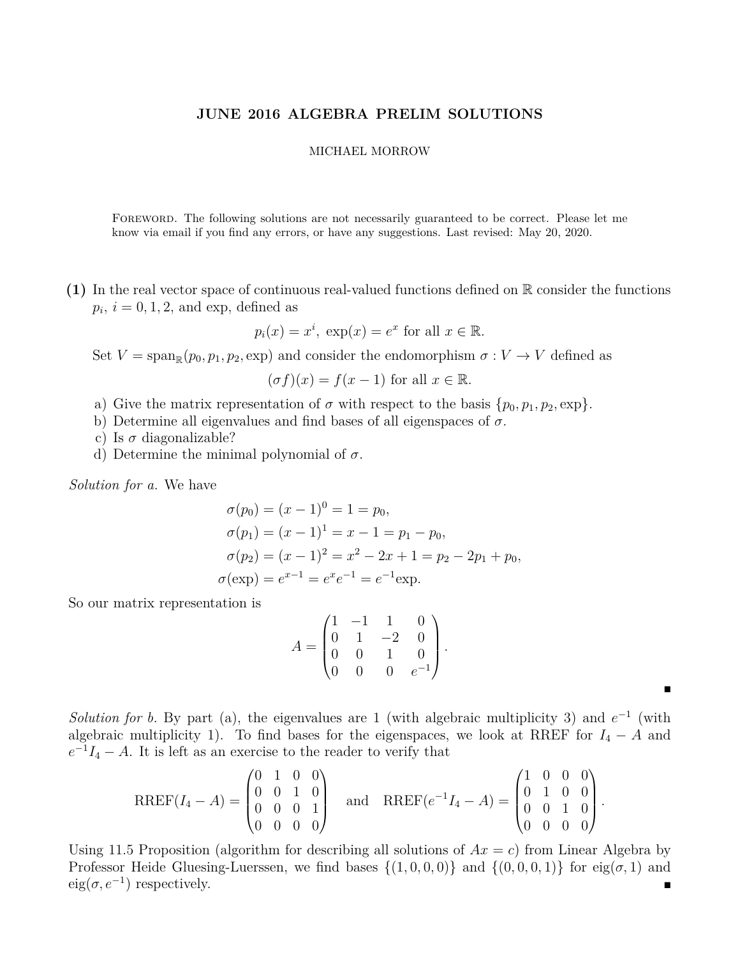## **JUNE 2016 ALGEBRA PRELIM SOLUTIONS**

## MICHAEL MORROW

Foreword. The following solutions are not necessarily guaranteed to be correct. Please let me know via email if you find any errors, or have any suggestions. Last revised: May 20, 2020.

**(1)** In the real vector space of continuous real-valued functions defined on R consider the functions  $p_i$ ,  $i = 0, 1, 2$ , and exp, defined as

$$
p_i(x) = x^i
$$
,  $\exp(x) = e^x$  for all  $x \in \mathbb{R}$ .

Set  $V = \text{span}_{\mathbb{R}}(p_0, p_1, p_2, \text{exp})$  and consider the endomorphism  $\sigma : V \to V$  defined as

$$
(\sigma f)(x) = f(x - 1)
$$
 for all  $x \in \mathbb{R}$ .

- a) Give the matrix representation of  $\sigma$  with respect to the basis  $\{p_0, p_1, p_2, \exp\}.$
- b) Determine all eigenvalues and find bases of all eigenspaces of *σ*.
- c) Is  $\sigma$  diagonalizable?
- d) Determine the minimal polynomial of *σ*.

*Solution for a.* We have

$$
\sigma(p_0) = (x - 1)^0 = 1 = p_0,
$$
  
\n
$$
\sigma(p_1) = (x - 1)^1 = x - 1 = p_1 - p_0,
$$
  
\n
$$
\sigma(p_2) = (x - 1)^2 = x^2 - 2x + 1 = p_2 - 2p_1 + p_0,
$$
  
\n
$$
\sigma(\exp) = e^{x-1} = e^x e^{-1} = e^{-1} \exp.
$$

So our matrix representation is

$$
A = \begin{pmatrix} 1 & -1 & 1 & 0 \\ 0 & 1 & -2 & 0 \\ 0 & 0 & 1 & 0 \\ 0 & 0 & 0 & e^{-1} \end{pmatrix}
$$

*.*

Е

*Solution for b.* By part (a), the eigenvalues are 1 (with algebraic multiplicity 3) and  $e^{-1}$  (with algebraic multiplicity 1). To find bases for the eigenspaces, we look at RREF for  $I_4 - A$  and  $e^{-1}I_4 - A$ . It is left as an exercise to the reader to verify that

$$
RREF(I_4-A)=\begin{pmatrix} 0 & 1 & 0 & 0 \\ 0 & 0 & 1 & 0 \\ 0 & 0 & 0 & 1 \\ 0 & 0 & 0 & 0 \end{pmatrix} \text{ and } RREF(e^{-1}I_4-A)=\begin{pmatrix} 1 & 0 & 0 & 0 \\ 0 & 1 & 0 & 0 \\ 0 & 0 & 1 & 0 \\ 0 & 0 & 0 & 0 \end{pmatrix}.
$$

Using 11.5 Proposition (algorithm for describing all solutions of  $Ax = c$ ) from Linear Algebra by Professor Heide Gluesing-Luerssen, we find bases  $\{(1,0,0,0)\}$  and  $\{(0,0,0,1)\}$  for eig( $\sigma$ , 1) and  $eig(\sigma, e^{-1})$  respectively.  $\blacksquare$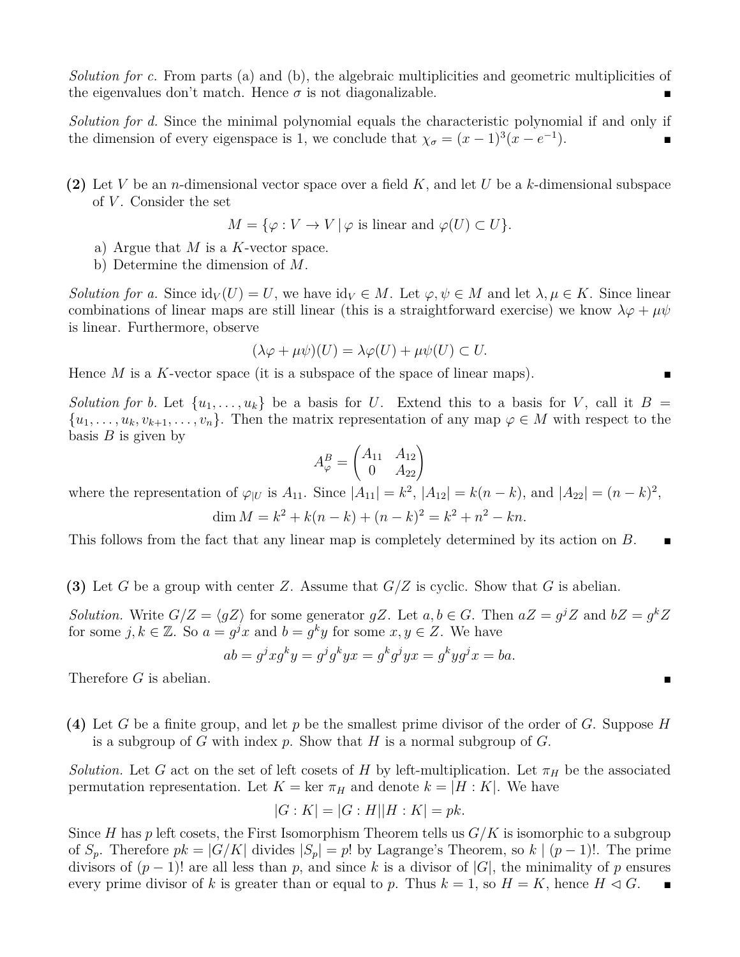*Solution for c.* From parts (a) and (b), the algebraic multiplicities and geometric multiplicities of the eigenvalues don't match. Hence  $\sigma$  is not diagonalizable.

*Solution for d.* Since the minimal polynomial equals the characteristic polynomial if and only if the dimension of every eigenspace is 1, we conclude that  $\chi_{\sigma} = (x-1)^3(x-e^{-1})$  $\Box$ 

**(2)** Let *V* be an *n*-dimensional vector space over a field *K*, and let *U* be a *k*-dimensional subspace of *V* . Consider the set

$$
M = \{ \varphi : V \to V \mid \varphi \text{ is linear and } \varphi(U) \subset U \}.
$$

- a) Argue that *M* is a *K*-vector space.
- b) Determine the dimension of *M*.

*Solution for a.* Since  $\mathrm{id}_V(U) = U$ , we have  $\mathrm{id}_V \in M$ . Let  $\varphi, \psi \in M$  and let  $\lambda, \mu \in K$ . Since linear combinations of linear maps are still linear (this is a straightforward exercise) we know  $\lambda \varphi + \mu \psi$ is linear. Furthermore, observe

$$
(\lambda \varphi + \mu \psi)(U) = \lambda \varphi(U) + \mu \psi(U) \subset U.
$$

Hence *M* is a *K*-vector space (it is a subspace of the space of linear maps).

*Solution for b.* Let  $\{u_1, \ldots, u_k\}$  be a basis for *U*. Extend this to a basis for *V*, call it  $B =$  $\{u_1, \ldots, u_k, v_{k+1}, \ldots, v_n\}$ . Then the matrix representation of any map  $\varphi \in M$  with respect to the basis *B* is given by

$$
A_{\varphi}^{B} = \begin{pmatrix} A_{11} & A_{12} \\ 0 & A_{22} \end{pmatrix}
$$

where the representation of  $\varphi_{|U}$  is  $A_{11}$ . Since  $|A_{11}| = k^2$ ,  $|A_{12}| = k(n - k)$ , and  $|A_{22}| = (n - k)^2$ ,

$$
\dim M = k^2 + k(n-k) + (n-k)^2 = k^2 + n^2 - kn.
$$

This follows from the fact that any linear map is completely determined by its action on *B*.

**(3)** Let *G* be a group with center *Z*. Assume that *G/Z* is cyclic. Show that *G* is abelian.

*Solution.* Write  $G/Z = \langle gZ \rangle$  for some generator  $gZ$ . Let  $a, b \in G$ . Then  $aZ = g^jZ$  and  $bZ = g^kZ$ for some  $j, k \in \mathbb{Z}$ . So  $a = g^j x$  and  $b = g^k y$  for some  $x, y \in \mathbb{Z}$ . We have

$$
ab = gj x gk y = gj gk y x = gk gj y x = gk y gj x = ba.
$$

Therefore *G* is abelian.

**(4)** Let *G* be a finite group, and let *p* be the smallest prime divisor of the order of *G*. Suppose *H* is a subgroup of *G* with index *p*. Show that *H* is a normal subgroup of *G*.

*Solution.* Let *G* act on the set of left cosets of *H* by left-multiplication. Let  $\pi_H$  be the associated permutation representation. Let  $K = \text{ker } \pi_H$  and denote  $k = |H : K|$ . We have

$$
|G:K| = |G:H||H:K| = pk.
$$

Since *H* has *p* left cosets, the First Isomorphism Theorem tells us *G/K* is isomorphic to a subgroup of  $S_p$ . Therefore  $pk = |G/K|$  divides  $|S_p| = p!$  by Lagrange's Theorem, so  $k | (p-1)!$ . The prime divisors of  $(p-1)!$  are all less than p, and since k is a divisor of  $|G|$ , the minimality of p ensures every prime divisor of k is greater than or equal to p. Thus  $k = 1$ , so  $H = K$ , hence  $H \triangleleft G$ .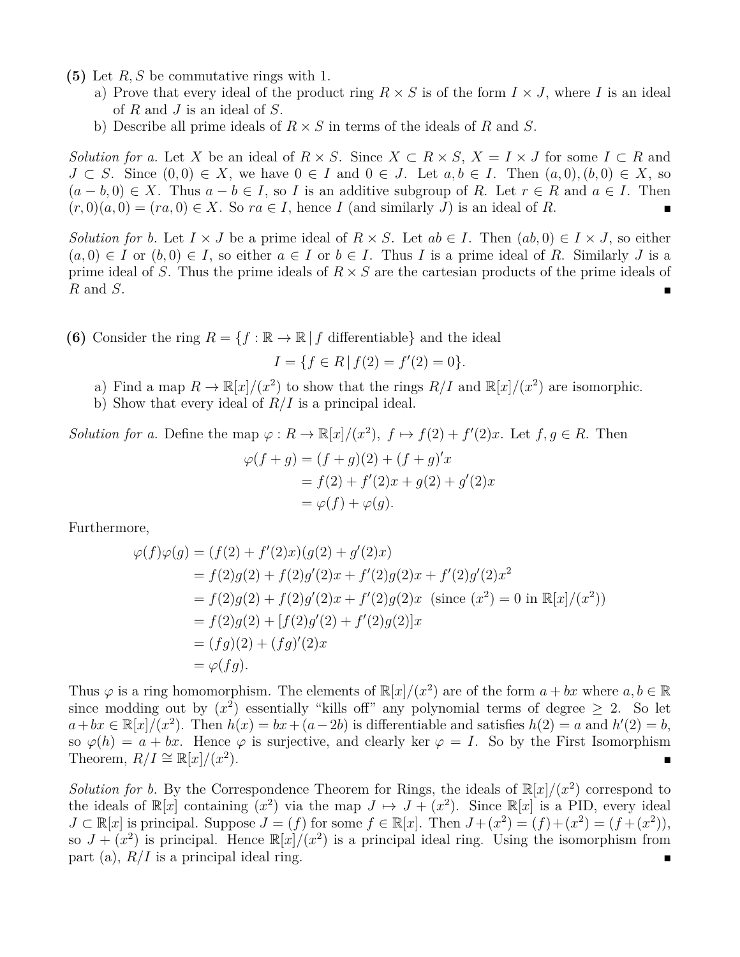- **(5)** Let *R, S* be commutative rings with 1.
	- a) Prove that every ideal of the product ring  $R \times S$  is of the form  $I \times J$ , where *I* is an ideal of *R* and *J* is an ideal of *S*.
	- b) Describe all prime ideals of *R* × *S* in terms of the ideals of *R* and *S*.

*Solution for a.* Let *X* be an ideal of  $R \times S$ . Since  $X \subset R \times S$ ,  $X = I \times J$  for some  $I \subset R$  and *J* ⊂ *S*. Since  $(0,0) \in X$ , we have  $0 \in I$  and  $0 \in J$ . Let  $a, b \in I$ . Then  $(a,0), (b,0) \in X$ , so  $(a - b, 0) \in X$ . Thus  $a - b \in I$ , so *I* is an additive subgroup of *R*. Let  $r \in R$  and  $a \in I$ . Then  $(r,0)(a,0) = (ra,0) \in X$ . So  $ra \in I$ , hence *I* (and similarly *J*) is an ideal of *R*.

*Solution for b.* Let  $I \times J$  be a prime ideal of  $R \times S$ . Let  $ab \in I$ . Then  $(ab, 0) \in I \times J$ , so either  $(a, 0) \in I$  or  $(b, 0) \in I$ , so either  $a \in I$  or  $b \in I$ . Thus *I* is a prime ideal of *R*. Similarly *J* is a prime ideal of *S*. Thus the prime ideals of *R* × *S* are the cartesian products of the prime ideals of *R* and *S*.

**(6)** Consider the ring  $R = \{f : \mathbb{R} \to \mathbb{R} \mid f \text{ differentiable}\}\$ and the ideal

 $I = \{f \in R \mid f(2) = f'(2) = 0\}.$ 

- a) Find a map  $R \to \mathbb{R}[x]/(x^2)$  to show that the rings  $R/I$  and  $\mathbb{R}[x]/(x^2)$  are isomorphic.
- b) Show that every ideal of *R/I* is a principal ideal.

*Solution for a.* Define the map  $\varphi : R \to \mathbb{R}[x]/(x^2)$ ,  $f \mapsto f(2) + f'(2)x$ . Let  $f, g \in R$ . Then  $\varphi(f+g) = (f+g)(2) + (f+g)'x$  $= f(2) + f'(2)x + g(2) + g'(2)x$  $= \varphi(f) + \varphi(q).$ 

Furthermore,

$$
\varphi(f)\varphi(g) = (f(2) + f'(2)x)(g(2) + g'(2)x)
$$
  
=  $f(2)g(2) + f(2)g'(2)x + f'(2)g(2)x + f'(2)g'(2)x^2$   
=  $f(2)g(2) + f(2)g'(2)x + f'(2)g(2)x$  (since  $(x^2) = 0$  in  $\mathbb{R}[x]/(x^2)$ )  
=  $f(2)g(2) + [f(2)g'(2) + f'(2)g(2)]x$   
=  $(fg)(2) + (fg)'(2)x$   
=  $\varphi(fg)$ .

Thus  $\varphi$  is a ring homomorphism. The elements of  $\mathbb{R}[x]/(x^2)$  are of the form  $a + bx$  where  $a, b \in \mathbb{R}$ since modding out by  $(x^2)$  essentially "kills off" any polynomial terms of degree  $\geq 2$ . So let  $a + bx \in \mathbb{R}[x]/(x^2)$ . Then  $h(x) = bx + (a - 2b)$  is differentiable and satisfies  $h(2) = a$  and  $h'(2) = b$ , so  $\varphi(h) = a + bx$ . Hence  $\varphi$  is surjective, and clearly ker  $\varphi = I$ . So by the First Isomorphism Theorem,  $R/I \cong \mathbb{R}[x]/(x^2)$  $\blacksquare$ 

*Solution for b.* By the Correspondence Theorem for Rings, the ideals of  $\mathbb{R}[x]/(x^2)$  correspond to the ideals of  $\mathbb{R}[x]$  containing  $(x^2)$  via the map  $J \mapsto J + (x^2)$ . Since  $\mathbb{R}[x]$  is a PID, every ideal  $J \subset \mathbb{R}[x]$  is principal. Suppose  $J = (f)$  for some  $f \in \mathbb{R}[x]$ . Then  $J + (x^2) = (f) + (x^2) = (f + (x^2))$ , so  $J + (x^2)$  is principal. Hence  $\mathbb{R}[x]/(x^2)$  is a principal ideal ring. Using the isomorphism from part (a),  $R/I$  is a principal ideal ring.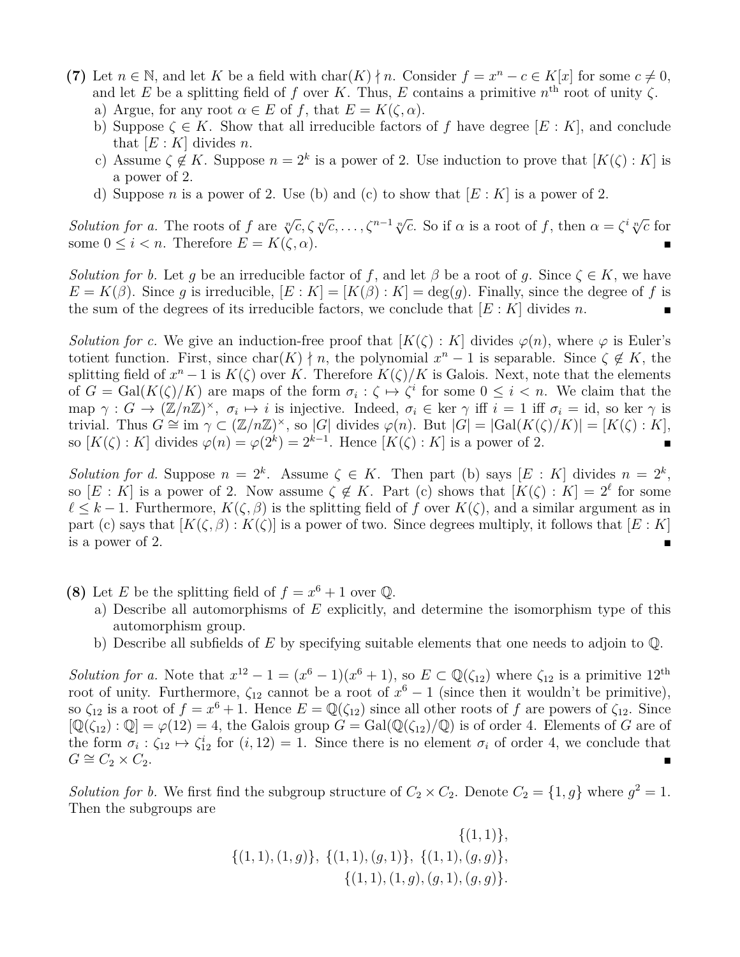- **(7)** Let  $n \in \mathbb{N}$ , and let *K* be a field with char $(K) \nmid n$ . Consider  $f = x^n c \in K[x]$  for some  $c \neq 0$ , and let *E* be a splitting field of *f* over *K*. Thus, *E* contains a primitive  $n^{\text{th}}$  root of unity  $\zeta$ . a) Argue, for any root  $\alpha \in E$  of f, that  $E = K(\zeta, \alpha)$ .
	- b) Suppose  $\zeta \in K$ . Show that all irreducible factors of f have degree  $[E: K]$ , and conclude that  $[E:K]$  divides *n*.
	- c) Assume  $\zeta \notin K$ . Suppose  $n = 2^k$  is a power of 2. Use induction to prove that  $[K(\zeta):K]$  is a power of 2.
	- d) Suppose *n* is a power of 2. Use (b) and (c) to show that  $[E: K]$  is a power of 2.

*Solution for a.* The roots of f are  $\sqrt[n]{c}, \zeta \sqrt[n]{c}, \ldots, \zeta^{n-1} \sqrt[n]{c}$ . So if  $\alpha$  is a root of f, then  $\alpha = \zeta^i \sqrt[n]{c}$  for some  $0 \leq i < n$ . Therefore  $E = K(\zeta, \alpha)$ .

*Solution for b.* Let *g* be an irreducible factor of *f*, and let  $\beta$  be a root of *g*. Since  $\zeta \in K$ , we have  $E = K(\beta)$ . Since *g* is irreducible,  $[E: K] = [K(\beta): K] = \deg(g)$ . Finally, since the degree of *f* is the sum of the degrees of its irreducible factors, we conclude that  $[E:K]$  divides *n*.

*Solution for c.* We give an induction-free proof that  $[K(\zeta):K]$  divides  $\varphi(n)$ , where  $\varphi$  is Euler's totient function. First, since char(*K*)  $\nmid n$ , the polynomial  $x^n - 1$  is separable. Since  $\zeta \notin K$ , the splitting field of  $x^n - 1$  is  $K(\zeta)$  over K. Therefore  $K(\zeta)/K$  is Galois. Next, note that the elements of  $G = \text{Gal}(K(\zeta)/K)$  are maps of the form  $\sigma_i : \zeta \mapsto \zeta^i$  for some  $0 \leq i < n$ . We claim that the  $\text{map } \gamma : G \to (\mathbb{Z}/n\mathbb{Z})^{\times}, \ \sigma_i \mapsto i \text{ is injective. Indeed, } \sigma_i \in \text{ker } \gamma \text{ iff } i = 1 \text{ iff } \sigma_i = \text{id, so } \text{ker } \gamma \text{ is }$  $\text{trivial. Thus } G \cong \text{im } \gamma \subset (\mathbb{Z}/n\mathbb{Z})^{\times}, \text{ so } |G| \text{ divides } \varphi(n). \text{ But } |G| = |\text{Gal}(K(\zeta)/K)| = [K(\zeta):K],$ so  $[K(\zeta):K]$  divides  $\varphi(n) = \varphi(2^k) = 2^{k-1}$ . Hence  $[K(\zeta):K]$  is a power of 2.

*Solution for d.* Suppose  $n = 2^k$ . Assume  $\zeta \in K$ . Then part (b) says  $[E: K]$  divides  $n = 2^k$ , so  $[E: K]$  is a power of 2. Now assume  $\zeta \notin K$ . Part (c) shows that  $[K(\zeta): K] = 2^{\ell}$  for some  $\ell \leq k-1$ . Furthermore,  $K(\zeta, \beta)$  is the splitting field of *f* over  $K(\zeta)$ , and a similar argument as in part (c) says that  $[K(\zeta, \beta) : K(\zeta)]$  is a power of two. Since degrees multiply, it follows that  $[E: K]$ is a power of 2.

- **(8)** Let *E* be the splitting field of  $f = x^6 + 1$  over Q.
	- a) Describe all automorphisms of *E* explicitly, and determine the isomorphism type of this automorphism group.
	- b) Describe all subfields of *E* by specifying suitable elements that one needs to adjoin to Q.

*Solution for a.* Note that  $x^{12} - 1 = (x^6 - 1)(x^6 + 1)$ , so  $E \subset \mathbb{Q}(\zeta_{12})$  where  $\zeta_{12}$  is a primitive  $12^{\text{th}}$ root of unity. Furthermore,  $\zeta_{12}$  cannot be a root of  $x^6 - 1$  (since then it wouldn't be primitive), so  $\zeta_{12}$  is a root of  $f = x^6 + 1$ . Hence  $E = \mathbb{Q}(\zeta_{12})$  since all other roots of f are powers of  $\zeta_{12}$ . Since  $[\mathbb{Q}(\zeta_{12}):\mathbb{Q}]=\varphi(12)=4$ , the Galois group  $G=\text{Gal}(\mathbb{Q}(\zeta_{12})/\mathbb{Q})$  is of order 4. Elements of *G* are of the form  $\sigma_i : \zeta_{12} \mapsto \zeta_{12}^i$  for  $(i, 12) = 1$ . Since there is no element  $\sigma_i$  of order 4, we conclude that  $G \cong C_2 \times C_2$ . ■

*Solution for b.* We first find the subgroup structure of  $C_2 \times C_2$ . Denote  $C_2 = \{1, g\}$  where  $g^2 = 1$ . Then the subgroups are

$$
\{(1,1), (1,g)\}, \{(1,1), (g,1)\}, \{(1,1), (g,g)\}, \{(1,1), (1,g), (g,1), (g,g)\}.
$$